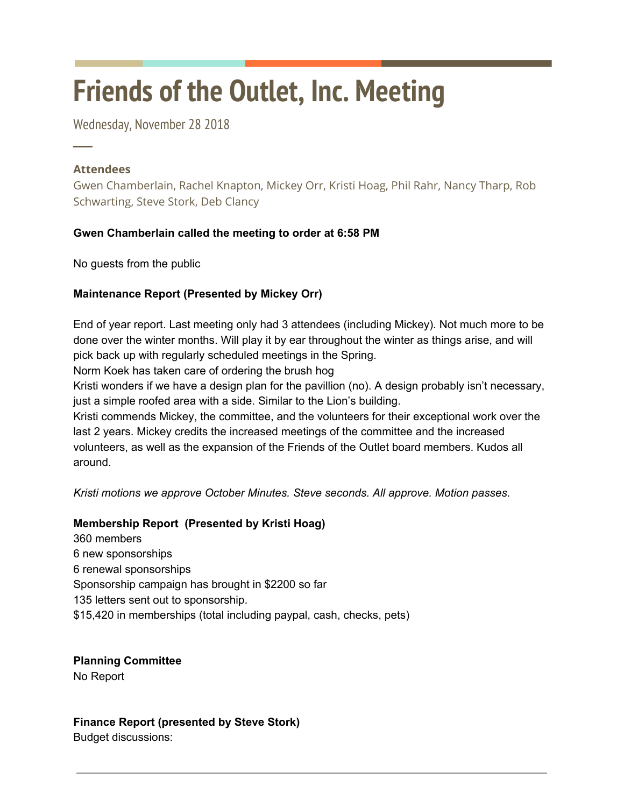# **Friends of the Outlet, Inc. Meeting**

Wednesday, November 28 2018

### **Attendees**

─

Gwen Chamberlain, Rachel Knapton, Mickey Orr, Kristi Hoag, Phil Rahr, Nancy Tharp, Rob Schwarting, Steve Stork, Deb Clancy

# **Gwen Chamberlain called the meeting to order at 6:58 PM**

No guests from the public

# **Maintenance Report (Presented by Mickey Orr)**

End of year report. Last meeting only had 3 attendees (including Mickey). Not much more to be done over the winter months. Will play it by ear throughout the winter as things arise, and will pick back up with regularly scheduled meetings in the Spring.

Norm Koek has taken care of ordering the brush hog

Kristi wonders if we have a design plan for the pavillion (no). A design probably isn't necessary, just a simple roofed area with a side. Similar to the Lion's building.

Kristi commends Mickey, the committee, and the volunteers for their exceptional work over the last 2 years. Mickey credits the increased meetings of the committee and the increased volunteers, as well as the expansion of the Friends of the Outlet board members. Kudos all around.

*Kristi motions we approve October Minutes. Steve seconds. All approve. Motion passes.*

#### **Membership Report (Presented by Kristi Hoag)**

360 members 6 new sponsorships 6 renewal sponsorships Sponsorship campaign has brought in \$2200 so far 135 letters sent out to sponsorship. \$15,420 in memberships (total including paypal, cash, checks, pets)

**Planning Committee** No Report

#### **Finance Report (presented by Steve Stork)**

Budget discussions: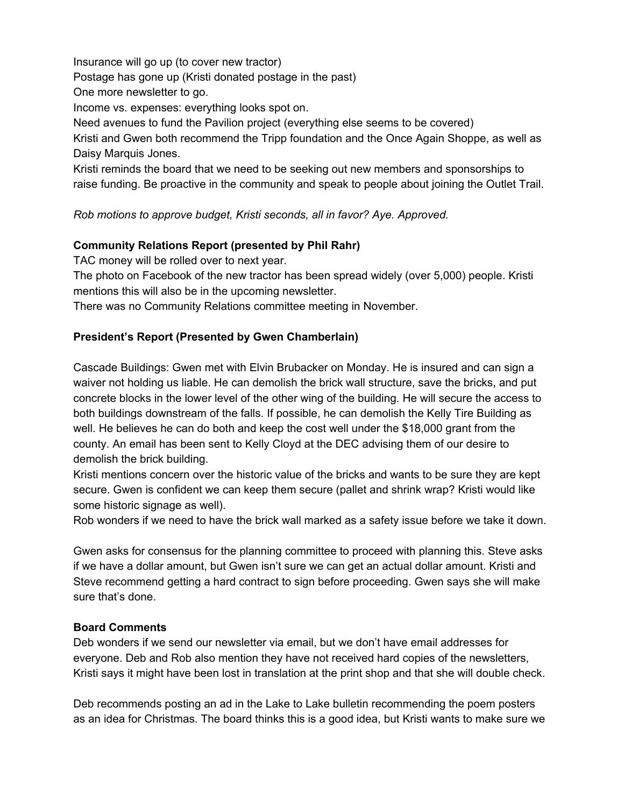Insurance will go up (to cover new tractor)

Postage has gone up (Kristi donated postage in the past)

One more newsletter to go.

Income vs. expenses: everything looks spot on.

Need avenues to fund the Pavilion project (everything else seems to be covered)

Kristi and Gwen both recommend the Tripp foundation and the Once Again Shoppe, as well as Daisy Marquis Jones.

Kristi reminds the board that we need to be seeking out new members and sponsorships to raise funding. Be proactive in the community and speak to people about joining the Outlet Trail.

*Rob motions to approve budget, Kristi seconds, all in favor? Aye. Approved.*

#### **Community Relations Report (presented by Phil Rahr)**

TAC money will be rolled over to next year.

The photo on Facebook of the new tractor has been spread widely (over 5,000) people. Kristi mentions this will also be in the upcoming newsletter.

There was no Community Relations committee meeting in November.

#### **President's Report (Presented by Gwen Chamberlain)**

Cascade Buildings: Gwen met with Elvin Brubacker on Monday. He is insured and can sign a waiver not holding us liable. He can demolish the brick wall structure, save the bricks, and put concrete blocks in the lower level of the other wing of the building. He will secure the access to both buildings downstream of the falls. If possible, he can demolish the Kelly Tire Building as well. He believes he can do both and keep the cost well under the \$18,000 grant from the county. An email has been sent to Kelly Cloyd at the DEC advising them of our desire to demolish the brick building.

Kristi mentions concern over the historic value of the bricks and wants to be sure they are kept secure. Gwen is confident we can keep them secure (pallet and shrink wrap? Kristi would like some historic signage as well).

Rob wonders if we need to have the brick wall marked as a safety issue before we take it down.

Gwen asks for consensus for the planning committee to proceed with planning this. Steve asks if we have a dollar amount, but Gwen isn't sure we can get an actual dollar amount. Kristi and Steve recommend getting a hard contract to sign before proceeding. Gwen says she will make sure that's done.

#### **Board Comments**

Deb wonders if we send our newsletter via email, but we don't have email addresses for everyone. Deb and Rob also mention they have not received hard copies of the newsletters, Kristi says it might have been lost in translation at the print shop and that she will double check.

Deb recommends posting an ad in the Lake to Lake bulletin recommending the poem posters as an idea for Christmas. The board thinks this is a good idea, but Kristi wants to make sure we